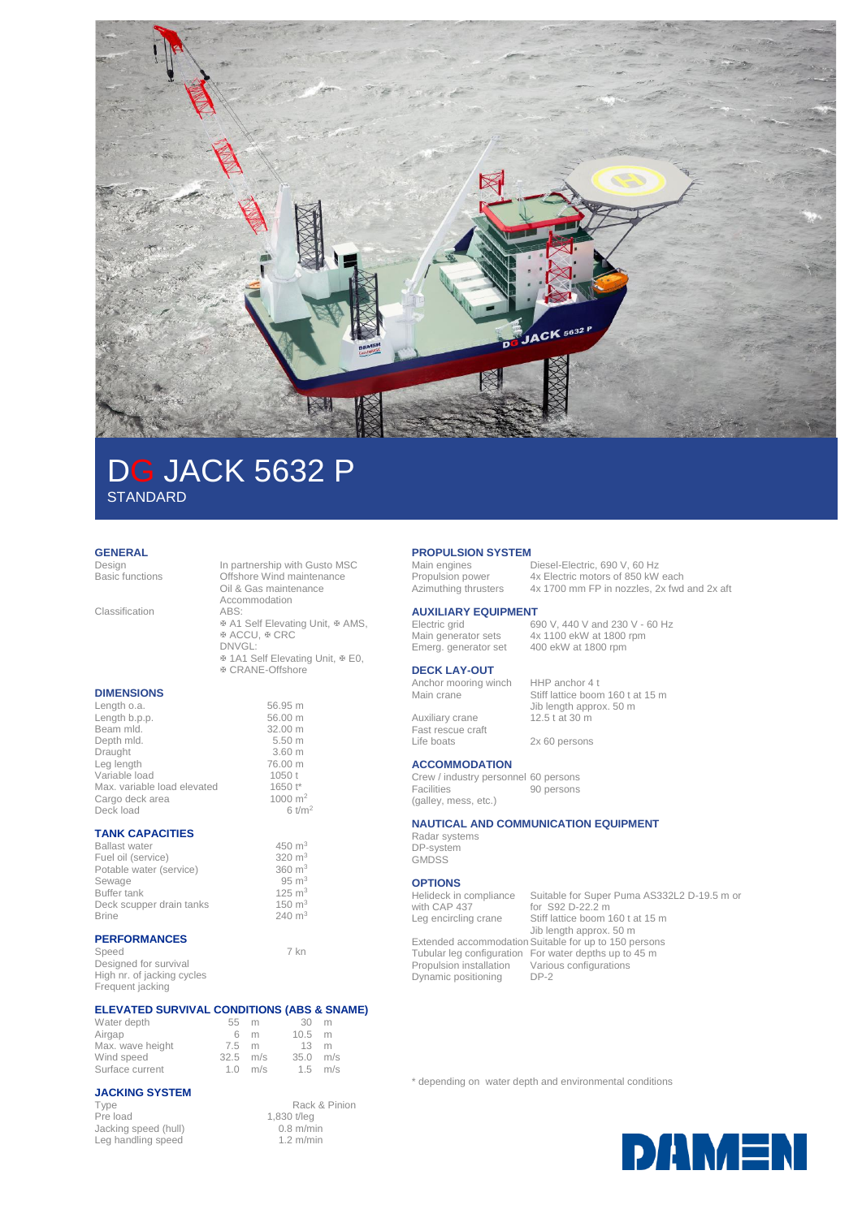

# DG JACK 5632 P **STANDARD**

## **GENERAL**<br>Design

Design In partnership with Gusto MSC<br>Basic functions Offshore Wind maintenance Offshore Wind maintenance Oil & Gas maintenance Accommodation<br>ABS: Classification  $\Phi$  **A1 Self Elevating Unit,**  $\Phi$  **AMS,** ® ACCU, ® CRC DNVGL: ⊕ 1A1 Self Elevating Unit,  $\Phi$  E0, CRANE-Offshore **DIMENSIONS** Length o.a. 56.95 m<br>
Length b.p.p. 56.00 m Length  $b.p.p.$ Beam mld. 32.00 m<br>Depth mld. 5.50 m Depth mld. 5.50 m<br>Draught 3.60 m Draught 3.60 m<br>
Leg length 76.00 m Leg length 76.00 m<br>Variable load 1050 t Variable load<br>
Max. variable load elevated 1650 t\* Max. variable load elevated 1650 t\*<br>Cargo deck area 1000 m<sup>2</sup>

#### **TANK CAPACITIES**

Cargo deck area

| <b>Ballast water</b>     | 450 $m3$          |
|--------------------------|-------------------|
| Fuel oil (service)       | 320 $m3$          |
| Potable water (service)  | $360 \text{ m}^3$ |
| Sewage                   | $95 \text{ m}^3$  |
| Buffer tank              | $125 \text{ m}^3$ |
| Deck scupper drain tanks | $150 \text{ m}^3$ |
| <b>Brine</b>             | $240 \text{ m}^3$ |
|                          |                   |

#### **PERFORMANCES**

Frequent jacking

Speed 7 kn Designed for survival High nr. of jacking cycles

Deck load 6 t/m<sup>2</sup>

#### **ELEVATED SURVIVAL CONDITIONS (ABS & SNAME)**

| Water depth      | 55 m            |                     | 30 m           |  |
|------------------|-----------------|---------------------|----------------|--|
| Airgap           | 6 m             |                     | $10.5 \, m$    |  |
| Max. wave height | $7.5 \text{ m}$ |                     | $13 \text{ m}$ |  |
| Wind speed       | $32.5$ m/s      |                     | $35.0$ m/s     |  |
| Surface current  |                 | $1.0 \, \text{m/s}$ | $1.5$ m/s      |  |

#### **JACKING SYSTEM**

Jacking speed (hull) 0.8 m/min<br>Leg handling speed 1.2 m/min Leg handling speed

Type Rack & Pinion<br>Pre load 1,830 t/leg 1,830 t/leg<br>0.8 m/min

## **PROPULSION SYSTEM**<br>Main engines

Main engines Diesel-Electric, 690 V, 60 Hz<br>Propulsion power 4x Electric motors of 850 kW Ax Electric motors of 850 kW each Azimuthing thrusters 4x 1700 mm FP in nozzles, 2x fwd and 2x aft

#### **AUXILIARY EQUIPMENT** 690 V, 440 V and 230 V - 60 Hz

Main generator sets 4x 1100 ekW at 1800 rpm Emerg. generator set 400 ekW at 1800 rpm

#### **DECK LAY-OUT**

Anchor mooring winch HHP anchor 4 t<br>Main crane Stiff lattice boom

Auxiliary crane Fast rescue craft<br>Life boats Stiff lattice boom 160 t at 15 m Jib length approx. 50 m<br>12.5 t at 30 m

2x 60 persons

#### **ACCOMMODATION**

Crew / industry personnel 60 persons Facilities (galley, mess, etc.) 90 persons

#### **NAUTICAL AND COMMUNICATION EQUIPMENT**

Radar systems DP-system **GMDSS** 

#### **OPTIONS**

Helideck in compliance with CAP 437<br>Leg encircling crane

Dynamic positioning

Suitable for Super Puma AS332L2 D-19.5 m or for S92 D-22.2 m Leg encircling crane Stiff lattice boom 160 t at 15 m Jib length approx. 50 m Extended accommodation Suitable for up to 150 persons Tubular leg configuration For water depths up to 45 m<br>Propulsion installation Various configurations Various configurations<br>DP-2

\* depending on water depth and environmental conditions